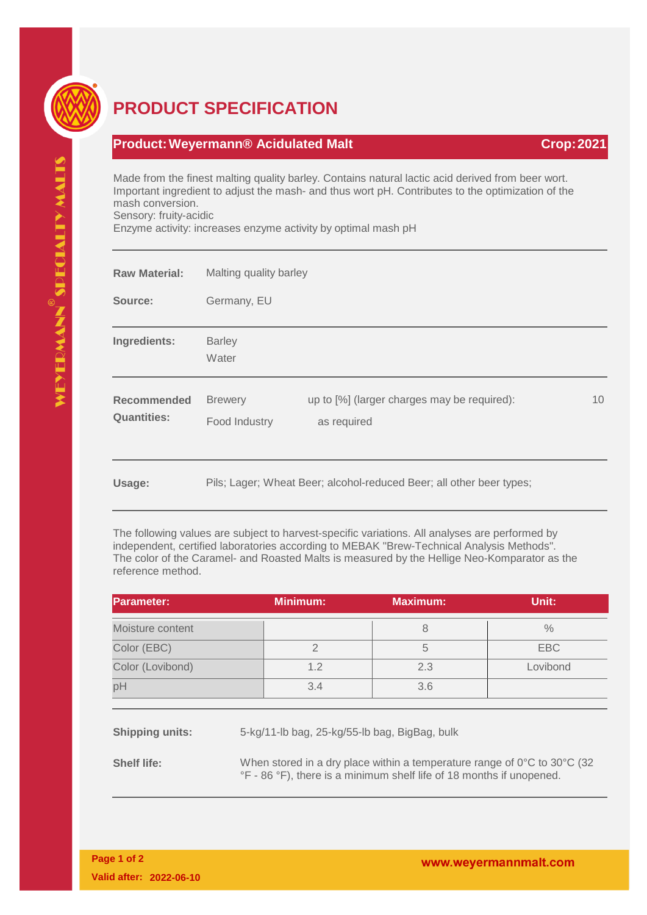

## **PRODUCT SPECIFICATION**

## **Product: Weyermann® Acidulated Malt Crop: 2021**

Made from the finest malting quality barley. Contains natural lactic acid derived from beer wort. Important ingredient to adjust the mash- and thus wort pH. Contributes to the optimization of the mash conversion.

Sensory: fruity-acidic

Enzyme activity: increases enzyme activity by optimal mash pH

| <b>Raw Material:</b>                     | Malting quality barley          |                                                                      |                 |
|------------------------------------------|---------------------------------|----------------------------------------------------------------------|-----------------|
| Source:                                  | Germany, EU                     |                                                                      |                 |
| Ingredients:                             | <b>Barley</b><br>Water          |                                                                      |                 |
| <b>Recommended</b><br><b>Quantities:</b> | <b>Brewery</b><br>Food Industry | up to [%] (larger charges may be required):<br>as required           | 10 <sup>°</sup> |
| Usage:                                   |                                 | Pils; Lager; Wheat Beer; alcohol-reduced Beer; all other beer types; |                 |

The following values are subject to harvest-specific variations. All analyses are performed by independent, certified laboratories according to MEBAK "Brew-Technical Analysis Methods". The color of the Caramel- and Roasted Malts is measured by the Hellige Neo-Komparator as the reference method.

| Parameter:       | <b>Minimum:</b> | <b>Maximum:</b> | Unit:    |
|------------------|-----------------|-----------------|----------|
| Moisture content |                 |                 | $\%$     |
| Color (EBC)      |                 |                 | EBC      |
| Color (Lovibond) | 1.2             | 2.3             | Lovibond |
| pH               | 3.4             | 3.6             |          |

**Shipping units:** 5-kg/11-lb bag, 25-kg/55-lb bag, BigBag, bulk

**Shelf life:** When stored in a dry place within a temperature range of 0°C to 30°C (32) °F - 86 °F), there is a minimum shelf life of 18 months if unopened.